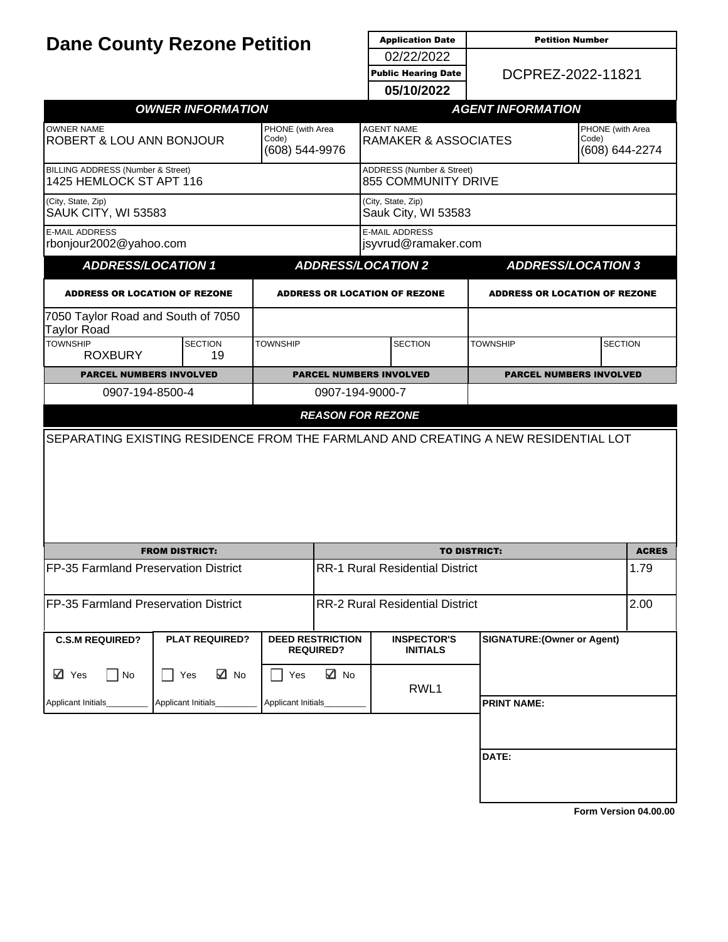|                                                                |                                                                                                                                                                                                                                                                                                                                                        | <b>Application Date</b><br><b>Petition Number</b> |                                                                                   |                                                                                                                                                                                                                        |                                                                                                                                                                        |                                                                                                                                                                                                                                                                                  |
|----------------------------------------------------------------|--------------------------------------------------------------------------------------------------------------------------------------------------------------------------------------------------------------------------------------------------------------------------------------------------------------------------------------------------------|---------------------------------------------------|-----------------------------------------------------------------------------------|------------------------------------------------------------------------------------------------------------------------------------------------------------------------------------------------------------------------|------------------------------------------------------------------------------------------------------------------------------------------------------------------------|----------------------------------------------------------------------------------------------------------------------------------------------------------------------------------------------------------------------------------------------------------------------------------|
| <b>Dane County Rezone Petition</b>                             |                                                                                                                                                                                                                                                                                                                                                        |                                                   | 02/22/2022                                                                        |                                                                                                                                                                                                                        |                                                                                                                                                                        |                                                                                                                                                                                                                                                                                  |
|                                                                |                                                                                                                                                                                                                                                                                                                                                        |                                                   | <b>Public Hearing Date</b>                                                        |                                                                                                                                                                                                                        |                                                                                                                                                                        |                                                                                                                                                                                                                                                                                  |
|                                                                |                                                                                                                                                                                                                                                                                                                                                        |                                                   | 05/10/2022                                                                        |                                                                                                                                                                                                                        |                                                                                                                                                                        |                                                                                                                                                                                                                                                                                  |
|                                                                |                                                                                                                                                                                                                                                                                                                                                        |                                                   |                                                                                   |                                                                                                                                                                                                                        |                                                                                                                                                                        |                                                                                                                                                                                                                                                                                  |
|                                                                | Code)                                                                                                                                                                                                                                                                                                                                                  |                                                   |                                                                                   |                                                                                                                                                                                                                        | PHONE (with Area<br>Code)<br>(608) 644-2274                                                                                                                            |                                                                                                                                                                                                                                                                                  |
|                                                                |                                                                                                                                                                                                                                                                                                                                                        |                                                   |                                                                                   |                                                                                                                                                                                                                        |                                                                                                                                                                        |                                                                                                                                                                                                                                                                                  |
|                                                                |                                                                                                                                                                                                                                                                                                                                                        |                                                   |                                                                                   |                                                                                                                                                                                                                        |                                                                                                                                                                        |                                                                                                                                                                                                                                                                                  |
|                                                                |                                                                                                                                                                                                                                                                                                                                                        |                                                   |                                                                                   |                                                                                                                                                                                                                        |                                                                                                                                                                        |                                                                                                                                                                                                                                                                                  |
|                                                                |                                                                                                                                                                                                                                                                                                                                                        |                                                   |                                                                                   |                                                                                                                                                                                                                        |                                                                                                                                                                        |                                                                                                                                                                                                                                                                                  |
|                                                                |                                                                                                                                                                                                                                                                                                                                                        |                                                   |                                                                                   |                                                                                                                                                                                                                        |                                                                                                                                                                        |                                                                                                                                                                                                                                                                                  |
|                                                                |                                                                                                                                                                                                                                                                                                                                                        |                                                   |                                                                                   |                                                                                                                                                                                                                        |                                                                                                                                                                        |                                                                                                                                                                                                                                                                                  |
| <b>SECTION</b><br>19                                           |                                                                                                                                                                                                                                                                                                                                                        |                                                   | <b>SECTION</b>                                                                    | <b>TOWNSHIP</b>                                                                                                                                                                                                        | <b>SECTION</b>                                                                                                                                                         |                                                                                                                                                                                                                                                                                  |
|                                                                |                                                                                                                                                                                                                                                                                                                                                        |                                                   |                                                                                   |                                                                                                                                                                                                                        |                                                                                                                                                                        |                                                                                                                                                                                                                                                                                  |
|                                                                |                                                                                                                                                                                                                                                                                                                                                        |                                                   |                                                                                   |                                                                                                                                                                                                                        |                                                                                                                                                                        |                                                                                                                                                                                                                                                                                  |
|                                                                |                                                                                                                                                                                                                                                                                                                                                        |                                                   |                                                                                   |                                                                                                                                                                                                                        |                                                                                                                                                                        |                                                                                                                                                                                                                                                                                  |
|                                                                |                                                                                                                                                                                                                                                                                                                                                        |                                                   |                                                                                   |                                                                                                                                                                                                                        |                                                                                                                                                                        |                                                                                                                                                                                                                                                                                  |
|                                                                |                                                                                                                                                                                                                                                                                                                                                        |                                                   |                                                                                   |                                                                                                                                                                                                                        | <b>ACRES</b>                                                                                                                                                           |                                                                                                                                                                                                                                                                                  |
| FP-35 Farmland Preservation District                           |                                                                                                                                                                                                                                                                                                                                                        | <b>RR-1 Rural Residential District</b>            |                                                                                   | 1.79                                                                                                                                                                                                                   |                                                                                                                                                                        |                                                                                                                                                                                                                                                                                  |
| FP-35 Farmland Preservation District                           |                                                                                                                                                                                                                                                                                                                                                        | <b>RR-2 Rural Residential District</b>            |                                                                                   |                                                                                                                                                                                                                        | 2.00                                                                                                                                                                   |                                                                                                                                                                                                                                                                                  |
|                                                                |                                                                                                                                                                                                                                                                                                                                                        |                                                   | <b>INSPECTOR'S</b><br><b>INITIALS</b>                                             |                                                                                                                                                                                                                        |                                                                                                                                                                        |                                                                                                                                                                                                                                                                                  |
| ⊠ No                                                           | Yes                                                                                                                                                                                                                                                                                                                                                    | ⊠ No                                              | RWL1                                                                              |                                                                                                                                                                                                                        |                                                                                                                                                                        |                                                                                                                                                                                                                                                                                  |
| Applicant Initials<br>Applicant Initials<br>Applicant Initials |                                                                                                                                                                                                                                                                                                                                                        |                                                   |                                                                                   | <b>PRINT NAME:</b>                                                                                                                                                                                                     |                                                                                                                                                                        |                                                                                                                                                                                                                                                                                  |
|                                                                |                                                                                                                                                                                                                                                                                                                                                        |                                                   |                                                                                   | DATE:                                                                                                                                                                                                                  |                                                                                                                                                                        |                                                                                                                                                                                                                                                                                  |
|                                                                |                                                                                                                                                                                                                                                                                                                                                        |                                                   |                                                                                   |                                                                                                                                                                                                                        |                                                                                                                                                                        |                                                                                                                                                                                                                                                                                  |
|                                                                | ROBERT & LOU ANN BONJOUR<br><b>BILLING ADDRESS (Number &amp; Street)</b><br>1425 HEMLOCK ST APT 116<br>rbonjour2002@yahoo.com<br><b>ADDRESS/LOCATION 1</b><br><b>ADDRESS OR LOCATION OF REZONE</b><br>7050 Taylor Road and South of 7050<br><b>PARCEL NUMBERS INVOLVED</b><br>0907-194-8500-4<br><b>FROM DISTRICT:</b><br><b>PLAT REQUIRED?</b><br>Yes | <b>OWNER INFORMATION</b><br><b>TOWNSHIP</b>       | PHONE (with Area<br>(608) 544-9976<br><b>DEED RESTRICTION</b><br><b>REQUIRED?</b> | <b>AGENT NAME</b><br>(City, State, Zip)<br><b>E-MAIL ADDRESS</b><br><b>ADDRESS/LOCATION 2</b><br><b>ADDRESS OR LOCATION OF REZONE</b><br><b>PARCEL NUMBERS INVOLVED</b><br>0907-194-9000-7<br><b>REASON FOR REZONE</b> | <b>RAMAKER &amp; ASSOCIATES</b><br><b>ADDRESS</b> (Number & Street)<br><b>855 COMMUNITY DRIVE</b><br>Sauk City, WI 53583<br>jsyvrud@ramaker.com<br><b>TO DISTRICT:</b> | DCPREZ-2022-11821<br><b>AGENT INFORMATION</b><br><b>ADDRESS/LOCATION 3</b><br><b>ADDRESS OR LOCATION OF REZONE</b><br><b>PARCEL NUMBERS INVOLVED</b><br>SEPARATING EXISTING RESIDENCE FROM THE FARMLAND AND CREATING A NEW RESIDENTIAL LOT<br><b>SIGNATURE: (Owner or Agent)</b> |

**[Form Version 04.00.00](http://sql2008-reports/Reports/Pages/Resource.aspx?ItemPath=%2fDocumentation%2fReport+Index.docx)**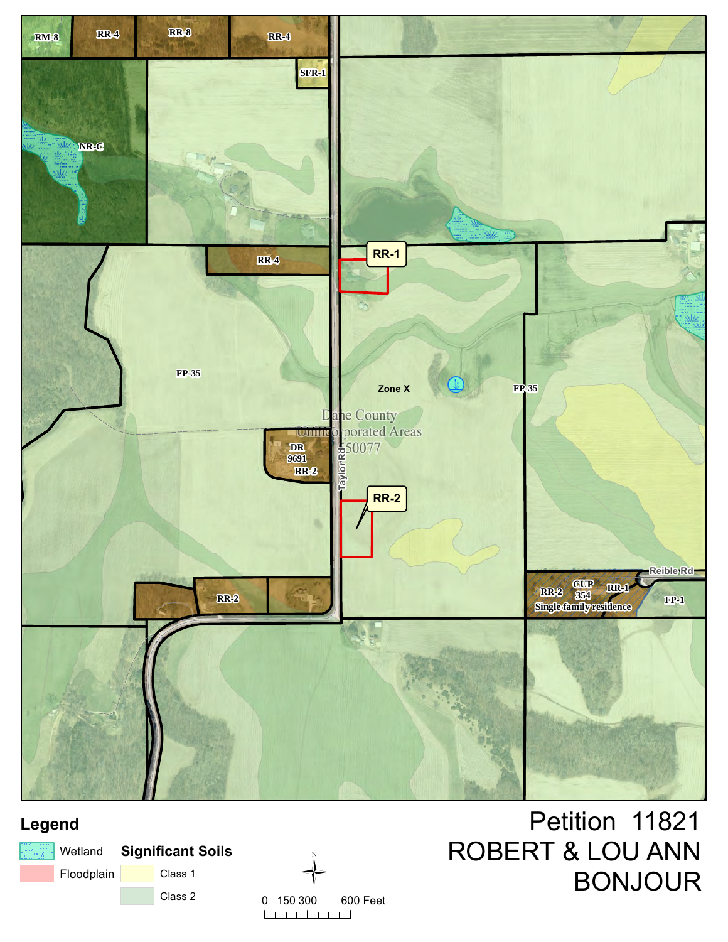

# **Legend**





Petition 11821 ROBERT & LOU ANN BONJOUR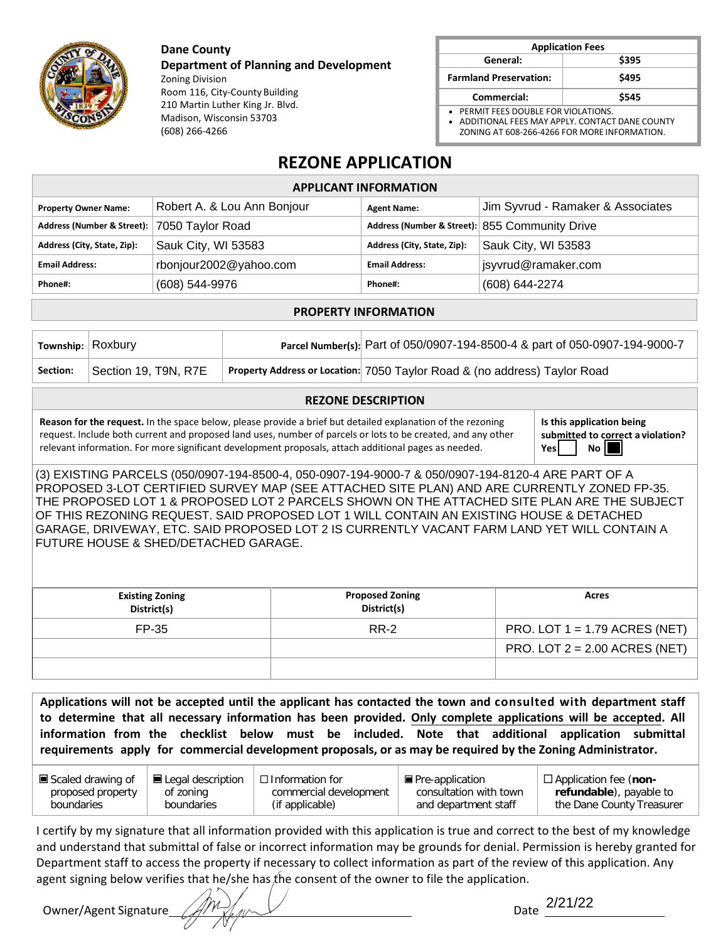**Dane County**

(608) 266-4266

**Department of Planning and Development** Zoning Division Room 116, City-County Building 210 Martin Luther King Jr. Blvd. Madison, Wisconsin 53703

| <b>Application Fees</b>                 |       |  |  |
|-----------------------------------------|-------|--|--|
| General:                                | \$395 |  |  |
| <b>Farmland Preservation:</b>           | \$495 |  |  |
| Commercial:                             | \$545 |  |  |
| PERMIT FEES DOUBLE FOR VIOLATIONS.<br>. |       |  |  |

• ADDITIONAL FEES MAY APPLY. CONTACT DANE COUNTY ZONING AT 608-266-4266 FOR MORE INFORMATION.

# **REZONE APPLICATION**

| <b>APPLICANT INFORMATION</b>                |                             |                             |                                                |  |
|---------------------------------------------|-----------------------------|-----------------------------|------------------------------------------------|--|
| <b>Property Owner Name:</b>                 | Robert A. & Lou Ann Bonjour | <b>Agent Name:</b>          | Jim Syvrud - Ramaker & Associates              |  |
| Address (Number & Street): 7050 Taylor Road |                             |                             | Address (Number & Street): 855 Community Drive |  |
| Address (City, State, Zip):                 | Sauk City, WI 53583         | Address (City, State, Zip): | Sauk City, WI 53583                            |  |
| <b>Email Address:</b>                       | rbonjour2002@yahoo.com      | <b>Email Address:</b>       | jsyvrud@ramaker.com                            |  |
| Phone#:                                     | (608) 544-9976              | Phone#:                     | (608) 644-2274                                 |  |
|                                             |                             |                             |                                                |  |

#### **PROPERTY INFORMATION**

| Township: Roxbury |                      | Parcel Number(s): Part of 050/0907-194-8500-4 & part of 050-0907-194-9000-7 |
|-------------------|----------------------|-----------------------------------------------------------------------------|
| Section:          | Section 19, T9N, R7E | Property Address or Location: 7050 Taylor Road & (no address) Taylor Road   |

#### **REZONE DESCRIPTION**

**Reason for the request.** In the space below, please provide a brief but detailed explanation of the rezoning request. Include both current and proposed land uses, number of parcels or lots to be created, and any other relevant information. For more significant development proposals, attach additional pages as needed.

**Is this application being submitted to correct a violation? Yes** | No

(3) EXISTING PARCELS (050/0907-194-8500-4, 050-0907-194-9000-7 & 050/0907-194-8120-4 ARE PART OF A PROPOSED 3-LOT CERTIFIED SURVEY MAP (SEE ATTACHED SITE PLAN) AND ARE CURRENTLY ZONED FP-35. THE PROPOSED LOT 1 & PROPOSED LOT 2 PARCELS SHOWN ON THE ATTACHED SITE PLAN ARE THE SUBJECT OF THIS REZONING REQUEST. SAID PROPOSED LOT 1 WILL CONTAIN AN EXISTING HOUSE & DETACHED GARAGE, DRIVEWAY, ETC. SAID PROPOSED LOT 2 IS CURRENTLY VACANT FARM LAND YET WILL CONTAIN A FUTURE HOUSE & SHED/DETACHED GARAGE.

| <b>Existing Zoning</b><br>District(s) | <b>Proposed Zoning</b><br>District(s) | Acres                           |
|---------------------------------------|---------------------------------------|---------------------------------|
| FP-35                                 | <b>RR-2</b>                           | PRO. LOT $1 = 1.79$ ACRES (NET) |
|                                       |                                       | PRO. LOT $2 = 2.00$ ACRES (NET) |
|                                       |                                       |                                 |

**Applications will not be accepted until the applicant has contacted the town and consulted with department staff to determine that all necessary information has been provided. Only complete applications will be accepted. All information from the checklist below must be included. Note that additional application submittal requirements apply for commercial development proposals, or as may be required by the Zoning Administrator.** 

| ■ Scaled drawing of | $\blacksquare$ Legal description | $\Box$ Information for | De Pre-application     | $\Box$ Application fee (non- |
|---------------------|----------------------------------|------------------------|------------------------|------------------------------|
| proposed property   | of zoning                        | commercial development | consultation with town | refundable), payable to      |
| boundaries          | boundaries                       | (if applicable)        | and department staff   | the Dane County Treasurer    |

I certify by my signature that all information provided with this application is true and correct to the best of my knowledge and understand that submittal of false or incorrect information may be grounds for denial. Permission is hereby granted for Department staff to access the property if necessary to collect information as part of the review of this application. Any agent signing below verifies that he/she has the consent of the owner to file the application.

Owner/Agent Signature

Date 2/21/22

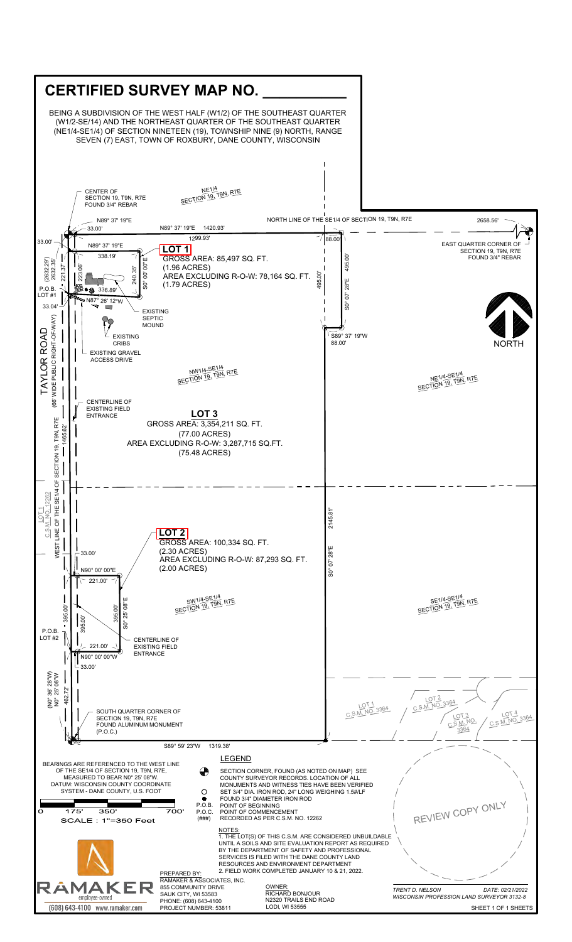